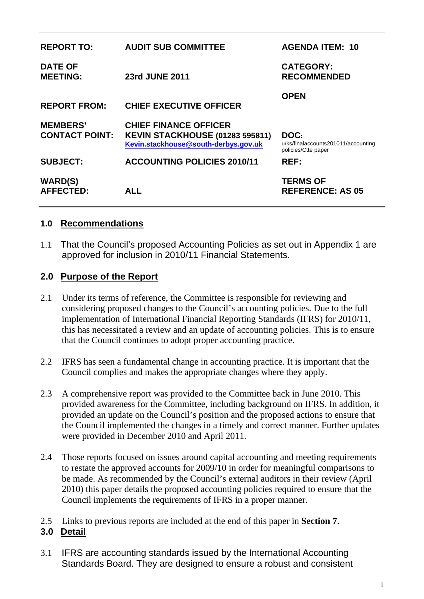| <b>REPORT TO:</b>                        | <b>AUDIT SUB COMMITTEE</b>                                                                                     | <b>AGENDA ITEM: 10</b>                                             |
|------------------------------------------|----------------------------------------------------------------------------------------------------------------|--------------------------------------------------------------------|
| <b>DATE OF</b><br><b>MEETING:</b>        | 23rd JUNE 2011                                                                                                 | <b>CATEGORY:</b><br><b>RECOMMENDED</b>                             |
| <b>REPORT FROM:</b>                      | <b>CHIEF EXECUTIVE OFFICER</b>                                                                                 | <b>OPEN</b>                                                        |
| <b>MEMBERS'</b><br><b>CONTACT POINT:</b> | <b>CHIEF FINANCE OFFICER</b><br><b>KEVIN STACKHOUSE (01283 595811)</b><br>Kevin.stackhouse@south-derbys.gov.uk | DOC:<br>u/ks/finalaccounts201011/accounting<br>policies/Ctte paper |
| <b>SUBJECT:</b>                          | <b>ACCOUNTING POLICIES 2010/11</b>                                                                             | <b>REF:</b>                                                        |
| <b>WARD(S)</b><br><b>AFFECTED:</b>       | ALL.                                                                                                           | <b>TERMS OF</b><br><b>REFERENCE: AS 05</b>                         |

#### **1.0 Recommendations**

1.1 That the Council's proposed Accounting Policies as set out in Appendix 1 are approved for inclusion in 2010/11 Financial Statements.

### **2.0 Purpose of the Report**

- 2.1 Under its terms of reference, the Committee is responsible for reviewing and considering proposed changes to the Council's accounting policies. Due to the full implementation of International Financial Reporting Standards (IFRS) for 2010/11, this has necessitated a review and an update of accounting policies. This is to ensure that the Council continues to adopt proper accounting practice.
- 2.2 IFRS has seen a fundamental change in accounting practice. It is important that the Council complies and makes the appropriate changes where they apply.
- 2.3 A comprehensive report was provided to the Committee back in June 2010. This provided awareness for the Committee, including background on IFRS. In addition, it provided an update on the Council's position and the proposed actions to ensure that the Council implemented the changes in a timely and correct manner. Further updates were provided in December 2010 and April 2011.
- 2.4 Those reports focused on issues around capital accounting and meeting requirements to restate the approved accounts for 2009/10 in order for meaningful comparisons to be made. As recommended by the Council's external auditors in their review (April 2010) this paper details the proposed accounting policies required to ensure that the Council implements the requirements of IFRS in a proper manner.
- 2.5 Links to previous reports are included at the end of this paper in **Section 7**.

### **3.0 Detail**

3.1 IFRS are accounting standards issued by the International Accounting Standards Board. They are designed to ensure a robust and consistent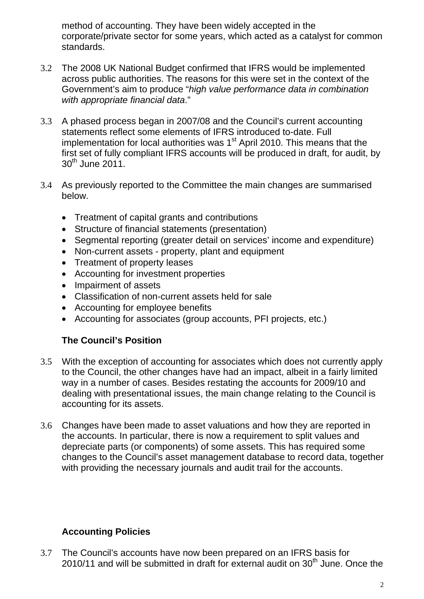method of accounting. They have been widely accepted in the corporate/private sector for some years, which acted as a catalyst for common standards.

- 3.2 The 2008 UK National Budget confirmed that IFRS would be implemented across public authorities. The reasons for this were set in the context of the Government's aim to produce "*high value performance data in combination with appropriate financial data*."
- 3.3 A phased process began in 2007/08 and the Council's current accounting statements reflect some elements of IFRS introduced to-date. Full implementation for local authorities was  $1<sup>st</sup>$  April 2010. This means that the first set of fully compliant IFRS accounts will be produced in draft, for audit, by  $30<sup>th</sup>$  June 2011.
- 3.4 As previously reported to the Committee the main changes are summarised below.
	- Treatment of capital grants and contributions
	- Structure of financial statements (presentation)
	- Segmental reporting (greater detail on services' income and expenditure)
	- Non-current assets property, plant and equipment
	- Treatment of property leases
	- Accounting for investment properties
	- Impairment of assets
	- Classification of non-current assets held for sale
	- Accounting for employee benefits
	- Accounting for associates (group accounts, PFI projects, etc.)

# **The Council's Position**

- 3.5 With the exception of accounting for associates which does not currently apply to the Council, the other changes have had an impact, albeit in a fairly limited way in a number of cases. Besides restating the accounts for 2009/10 and dealing with presentational issues, the main change relating to the Council is accounting for its assets.
- 3.6 Changes have been made to asset valuations and how they are reported in the accounts. In particular, there is now a requirement to split values and depreciate parts (or components) of some assets. This has required some changes to the Council's asset management database to record data, together with providing the necessary journals and audit trail for the accounts.

# **Accounting Policies**

3.7 The Council's accounts have now been prepared on an IFRS basis for 2010/11 and will be submitted in draft for external audit on  $30<sup>th</sup>$  June. Once the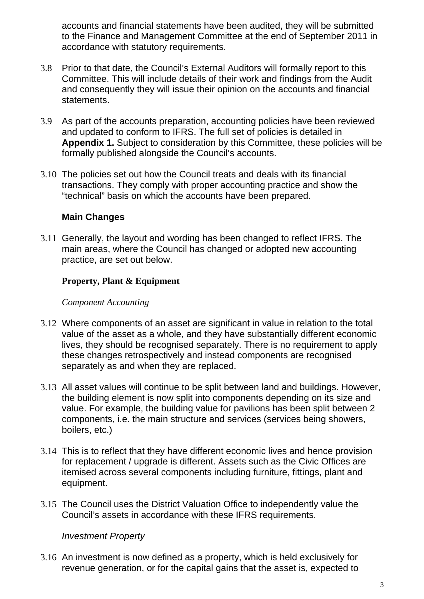accounts and financial statements have been audited, they will be submitted to the Finance and Management Committee at the end of September 2011 in accordance with statutory requirements.

- 3.8 Prior to that date, the Council's External Auditors will formally report to this Committee. This will include details of their work and findings from the Audit and consequently they will issue their opinion on the accounts and financial statements.
- 3.9 As part of the accounts preparation, accounting policies have been reviewed and updated to conform to IFRS. The full set of policies is detailed in **Appendix 1.** Subject to consideration by this Committee, these policies will be formally published alongside the Council's accounts.
- 3.10 The policies set out how the Council treats and deals with its financial transactions. They comply with proper accounting practice and show the "technical" basis on which the accounts have been prepared.

### **Main Changes**

3.11 Generally, the layout and wording has been changed to reflect IFRS. The main areas, where the Council has changed or adopted new accounting practice, are set out below.

#### **Property, Plant & Equipment**

#### *Component Accounting*

- 3.12 Where components of an asset are significant in value in relation to the total value of the asset as a whole, and they have substantially different economic lives, they should be recognised separately. There is no requirement to apply these changes retrospectively and instead components are recognised separately as and when they are replaced.
- 3.13 All asset values will continue to be split between land and buildings. However, the building element is now split into components depending on its size and value. For example, the building value for pavilions has been split between 2 components, i.e. the main structure and services (services being showers, boilers, etc.)
- 3.14 This is to reflect that they have different economic lives and hence provision for replacement / upgrade is different. Assets such as the Civic Offices are itemised across several components including furniture, fittings, plant and equipment.
- 3.15 The Council uses the District Valuation Office to independently value the Council's assets in accordance with these IFRS requirements.

#### *Investment Property*

3.16 An investment is now defined as a property, which is held exclusively for revenue generation, or for the capital gains that the asset is, expected to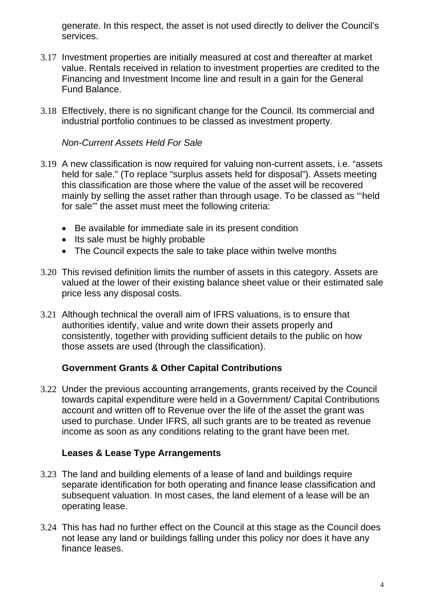generate. In this respect, the asset is not used directly to deliver the Council's services.

- 3.17 Investment properties are initially measured at cost and thereafter at market value. Rentals received in relation to investment properties are credited to the Financing and Investment Income line and result in a gain for the General Fund Balance.
- 3.18 Effectively, there is no significant change for the Council. Its commercial and industrial portfolio continues to be classed as investment property.

### *Non-Current Assets Held For Sale*

- 3.19 A new classification is now required for valuing non-current assets, i.e. "assets held for sale." (To replace "surplus assets held for disposal"). Assets meeting this classification are those where the value of the asset will be recovered mainly by selling the asset rather than through usage. To be classed as "'held for sale'" the asset must meet the following criteria:
	- Be available for immediate sale in its present condition
	- Its sale must be highly probable
	- The Council expects the sale to take place within twelve months
- 3.20 This revised definition limits the number of assets in this category. Assets are valued at the lower of their existing balance sheet value or their estimated sale price less any disposal costs.
- 3.21 Although technical the overall aim of IFRS valuations, is to ensure that authorities identify, value and write down their assets properly and consistently, together with providing sufficient details to the public on how those assets are used (through the classification).

#### **Government Grants & Other Capital Contributions**

3.22 Under the previous accounting arrangements, grants received by the Council towards capital expenditure were held in a Government/ Capital Contributions account and written off to Revenue over the life of the asset the grant was used to purchase. Under IFRS, all such grants are to be treated as revenue income as soon as any conditions relating to the grant have been met.

#### **Leases & Lease Type Arrangements**

- 3.23 The land and building elements of a lease of land and buildings require separate identification for both operating and finance lease classification and subsequent valuation. In most cases, the land element of a lease will be an operating lease.
- 3.24 This has had no further effect on the Council at this stage as the Council does not lease any land or buildings falling under this policy nor does it have any finance leases.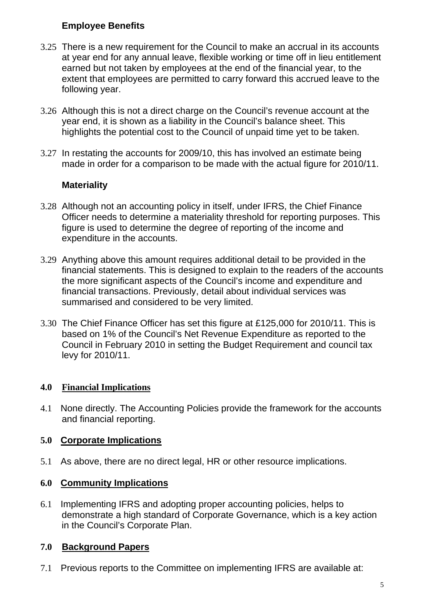## **Employee Benefits**

- 3.25 There is a new requirement for the Council to make an accrual in its accounts at year end for any annual leave, flexible working or time off in lieu entitlement earned but not taken by employees at the end of the financial year, to the extent that employees are permitted to carry forward this accrued leave to the following year.
- 3.26 Although this is not a direct charge on the Council's revenue account at the year end, it is shown as a liability in the Council's balance sheet. This highlights the potential cost to the Council of unpaid time yet to be taken.
- 3.27 In restating the accounts for 2009/10, this has involved an estimate being made in order for a comparison to be made with the actual figure for 2010/11.

### **Materiality**

- 3.28 Although not an accounting policy in itself, under IFRS, the Chief Finance Officer needs to determine a materiality threshold for reporting purposes. This figure is used to determine the degree of reporting of the income and expenditure in the accounts.
- 3.29 Anything above this amount requires additional detail to be provided in the financial statements. This is designed to explain to the readers of the accounts the more significant aspects of the Council's income and expenditure and financial transactions. Previously, detail about individual services was summarised and considered to be very limited.
- 3.30 The Chief Finance Officer has set this figure at £125,000 for 2010/11. This is based on 1% of the Council's Net Revenue Expenditure as reported to the Council in February 2010 in setting the Budget Requirement and council tax levy for 2010/11.

### **4.0 Financial Implications**

4.1 None directly. The Accounting Policies provide the framework for the accounts and financial reporting.

# **5.0 Corporate Implications**

5.1 As above, there are no direct legal, HR or other resource implications.

### **6.0 Community Implications**

6.1 Implementing IFRS and adopting proper accounting policies, helps to demonstrate a high standard of Corporate Governance, which is a key action in the Council's Corporate Plan.

### **7.0 Background Papers**

7.1 Previous reports to the Committee on implementing IFRS are available at: